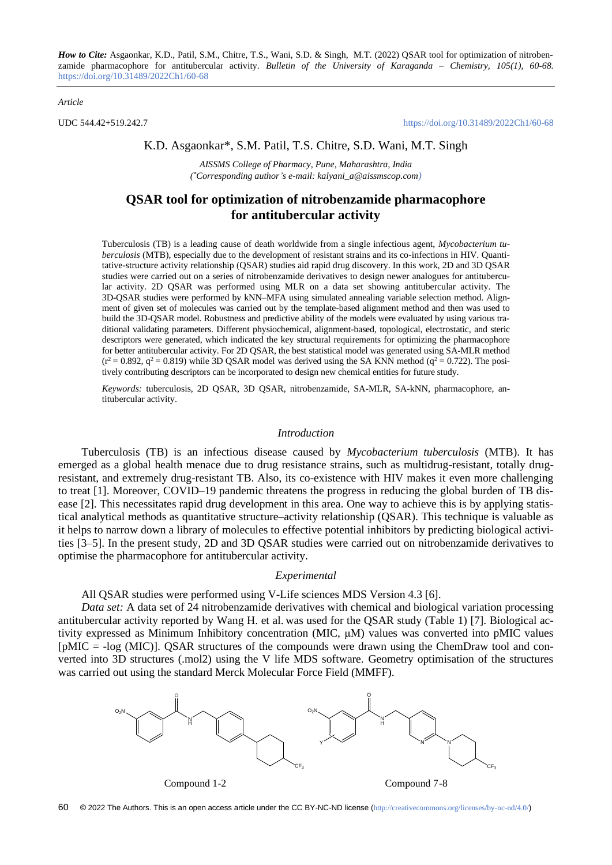*How to Cite:* Asgaonkar, K.D., Patil, S.M., Chitre, T.S., Wani, S.D. & Singh, M.T. (2022) QSAR tool for optimization of nitrobenzamide pharmacophore for antitubercular activity. *Bulletin of the University of Karaganda – Chemistry, 105(1), 60-68.*  <https://doi.org/10.31489/2022Ch1/60-68>

#### *Article*

UDC 544.42+519.242.7 <https://doi.org/10.31489/2022Ch1/60-68>

### K.D. Asgaonkar\*, S.M. Patil, T.S. Chitre, S.D. Wani, M.T. Singh

*AISSMS College of Pharmacy, Pune, Maharashtra, India ( \*Corresponding author's e-mail: kalyani\_a@aissmscop.com)*

## **QSAR tool for optimization of nitrobenzamide pharmacophore for antitubercular activity**

Tuberculosis (TB) is a leading cause of death worldwide from a single infectious agent, *Mycobacterium tuberculosis* (MTB), especially due to the development of resistant strains and its co-infections in HIV. Quantitative-structure activity relationship (QSAR) studies aid rapid drug discovery. In this work, 2D and 3D QSAR studies were carried out on a series of nitrobenzamide derivatives to design newer analogues for antitubercular activity. 2D QSAR was performed using MLR on a data set showing antitubercular activity. The 3D-QSAR studies were performed by kNN–MFA using simulated annealing variable selection method. Alignment of given set of molecules was carried out by the template-based alignment method and then was used to build the 3D-QSAR model. Robustness and predictive ability of the models were evaluated by using various traditional validating parameters. Different physiochemical, alignment-based, topological, electrostatic, and steric descriptors were generated, which indicated the key structural requirements for optimizing the pharmacophore for better antitubercular activity. For 2D QSAR, the best statistical model was generated using SA-MLR method  $(r^2 = 0.892, q^2 = 0.819)$  while 3D QSAR model was derived using the SA KNN method ( $q^2 = 0.722$ ). The positively contributing descriptors can be incorporated to design new chemical entities for future study.

*Keywords:* tuberculosis, 2D QSAR, 3D QSAR, nitrobenzamide, SA-MLR, SA-kNN*,* pharmacophore, antitubercular activity.

### *Introduction*

Tuberculosis (TB) is an infectious disease caused by *Mycobacterium tuberculosis* (MTB). It has emerged as a global health menace due to drug resistance strains, such as multidrug-resistant, totally drugresistant, and extremely drug-resistant TB. Also, its co-existence with HIV makes it even more challenging to treat [1]. Moreover, COVID–19 pandemic threatens the progress in reducing the global burden of TB disease [2]. This necessitates rapid drug development in this area. One way to achieve this is by applying statistical analytical methods as quantitative structure–activity relationship (QSAR). This technique is valuable as it helps to narrow down a library of molecules to effective potential inhibitors by predicting biological activities [3–5]. In the present study, 2D and 3D QSAR studies were carried out on nitrobenzamide derivatives to optimise the pharmacophore for antitubercular activity.

#### *Experimental*

## All QSAR studies were performed using V-Life sciences MDS Version 4.3 [6].

*Data set:* A data set of 24 nitrobenzamide derivatives with chemical and biological variation processing antitubercular activity reported by Wang H. et al. was used for the QSAR study (Table 1) [7]. Biological activity expressed as Minimum Inhibitory concentration (MIC, μM) values was converted into pMIC values [pMIC = -log (MIC)]. QSAR structures of the compounds were drawn using the ChemDraw tool and converted into 3D structures (.mol2) using the V life MDS software. Geometry optimisation of the structures was carried out using the standard Merck Molecular Force Field (MMFF).



Compound 1-2 Compound 7-8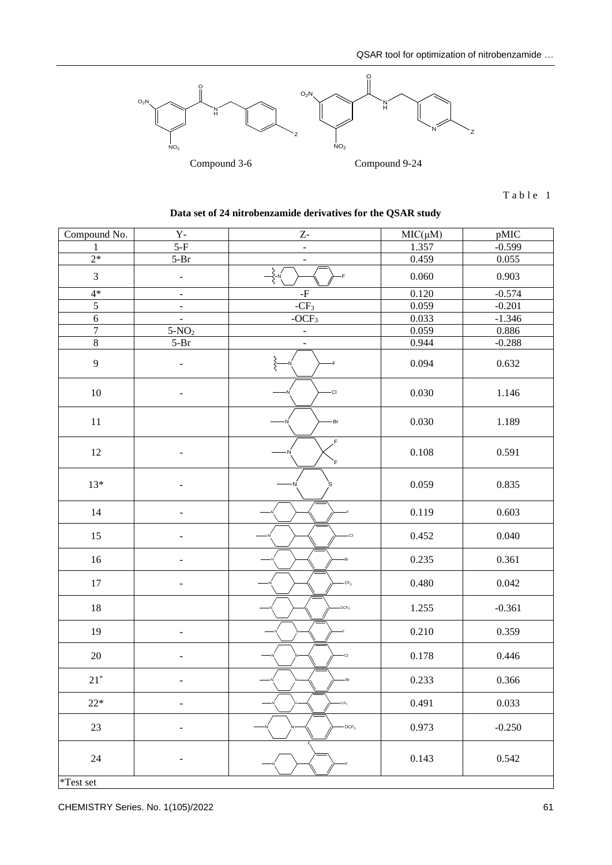

 $T$  a b l e 1

| Compound No.       | $\mathbf{Y}$ -               | $\mathbf{Z}$             | $MIC(\mu M)$ | pMIC     |
|--------------------|------------------------------|--------------------------|--------------|----------|
| 1                  | $5-F$                        | $\overline{\phantom{a}}$ | 1.357        | $-0.599$ |
| $2*$               | $5-Br$                       | $\blacksquare$           | 0.459        | 0.055    |
| 3                  | ÷,                           | $-\xi - \kappa$<br>-F    | 0.060        | 0.903    |
| $4*$               | ۳                            | -F                       | 0.120        | $-0.574$ |
| $\overline{5}$     | -                            | $-CF_3$                  | 0.059        | $-0.201$ |
| $\sqrt{6}$         | $\blacksquare$               | $-OCF3$                  | 0.033        | $-1.346$ |
| $\overline{7}$     | $5-NO2$                      | $\blacksquare$           | 0.059        | 0.886    |
| $\overline{\bf 8}$ | $5-Br$                       |                          | 0.944        | $-0.288$ |
| $\mathbf{9}$       | $\qquad \qquad \blacksquare$ | s<br>S-<br>۰F            | 0.094        | 0.632    |
| $10\,$             | ۰                            | -CI                      | 0.030        | 1.146    |
| $11\,$             |                              | Br                       | 0.030        | 1.189    |
| 12                 | L,                           | F<br>F                   | 0.108        | 0.591    |
| $13*$              |                              |                          | 0.059        | 0.835    |
| $14$               | $\overline{\phantom{0}}$     |                          | 0.119        | 0.603    |
| 15                 | -                            | -CI                      | 0.452        | 0.040    |
| $16\,$             | -                            | -Br                      | 0.235        | 0.361    |
| 17                 | -                            | $-CF3$                   | 0.480        | 0.042    |
| $18\,$             |                              | $-OCF3$                  | 1.255        | $-0.361$ |
| 19                 | -                            |                          | 0.210        | 0.359    |
| $20\,$             |                              | CI                       | 0.178        | 0.446    |
| $21*$              | ÷,                           | -Br                      | 0.233        | 0.366    |
| $22*$              | $\qquad \qquad -$            | $-CF3$                   | 0.491        | 0.033    |
| $23\,$             | -                            | $-OCF3$                  | 0.973        | $-0.250$ |
| 24                 | $\overline{\phantom{0}}$     |                          | 0.143        | 0.542    |

# **Data set of 24 nitrobenzamide derivatives for the QSAR study**

\*Test set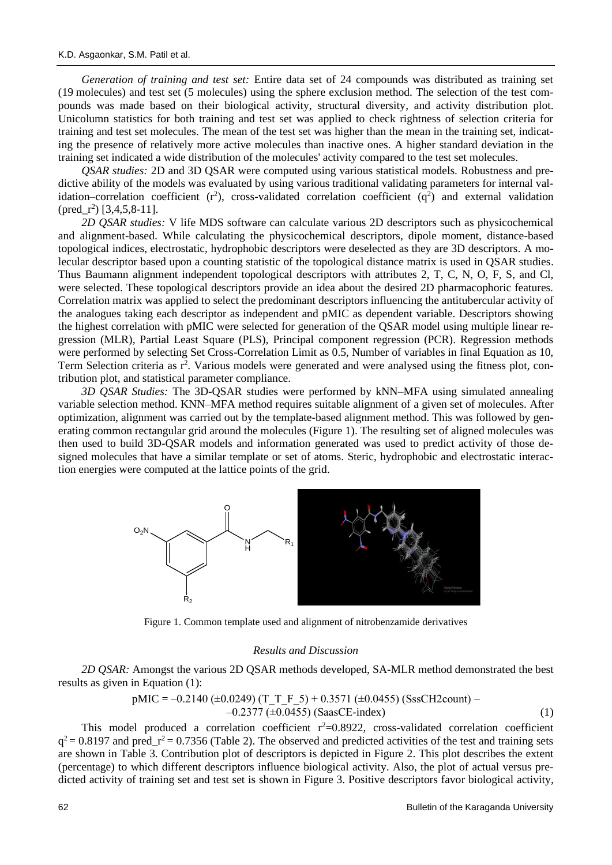*Generation of training and test set:* Entire data set of 24 compounds was distributed as training set (19 molecules) and test set (5 molecules) using the sphere exclusion method. The selection of the test compounds was made based on their biological activity, structural diversity, and activity distribution plot. Unicolumn statistics for both training and test set was applied to check rightness of selection criteria for training and test set molecules. The mean of the test set was higher than the mean in the training set, indicating the presence of relatively more active molecules than inactive ones. A higher standard deviation in the training set indicated a wide distribution of the molecules' activity compared to the test set molecules.

*QSAR studies:* 2D and 3D QSAR were computed using various statistical models. Robustness and predictive ability of the models was evaluated by using various traditional validating parameters for internal validation–correlation coefficient  $(r^2)$ , cross-validated correlation coefficient  $(q^2)$  and external validation  $(pred_r^2)$  [3,4,5,8-11].

*2D QSAR studies:* V life MDS software can calculate various 2D descriptors such as physicochemical and alignment-based. While calculating the physicochemical descriptors, dipole moment, distance-based topological indices, electrostatic, hydrophobic descriptors were deselected as they are 3D descriptors. A molecular descriptor based upon a counting statistic of the topological distance matrix is used in QSAR studies. Thus Baumann alignment independent topological descriptors with attributes 2, T, C, N, O, F, S, and Cl, were selected. These topological descriptors provide an idea about the desired 2D pharmacophoric features. Correlation matrix was applied to select the predominant descriptors influencing the antitubercular activity of the analogues taking each descriptor as independent and pMIC as dependent variable. Descriptors showing the highest correlation with pMIC were selected for generation of the QSAR model using multiple linear regression (MLR), Partial Least Square (PLS), Principal component regression (PCR). Regression methods were performed by selecting Set Cross-Correlation Limit as 0.5, Number of variables in final Equation as 10, Term Selection criteria as r<sup>2</sup>. Various models were generated and were analysed using the fitness plot, contribution plot, and statistical parameter compliance.

*3D QSAR Studies:* The 3D-QSAR studies were performed by kNN–MFA using simulated annealing variable selection method. KNN–MFA method requires suitable alignment of a given set of molecules. After optimization, alignment was carried out by the template-based alignment method. This was followed by generating common rectangular grid around the molecules (Figure 1). The resulting set of aligned molecules was then used to build 3D-QSAR models and information generated was used to predict activity of those designed molecules that have a similar template or set of atoms. Steric, hydrophobic and electrostatic interaction energies were computed at the lattice points of the grid.



Figure 1. Common template used and alignment of nitrobenzamide derivatives

### *Results and Discussion*

*2D QSAR:* Amongst the various 2D QSAR methods developed, SA-MLR method demonstrated the best results as given in Equation (1):

pMIC = -0.2140 (
$$
\pm
$$
0.0249) (T\_T\_F\_5) + 0.3571 ( $\pm$ 0.0455) (SssCH2count) –  
-0.2377 ( $\pm$ 0.0455) (SaasCE-index) (1)

This model produced a correlation coefficient  $r^2=0.8922$ , cross-validated correlation coefficient  $q^2$  = 0.8197 and pred\_r<sup>2</sup> = 0.7356 (Table 2). The observed and predicted activities of the test and training sets are shown in Table 3. Contribution plot of descriptors is depicted in Figure 2. This plot describes the extent (percentage) to which different descriptors influence biological activity. Also, the plot of actual versus predicted activity of training set and test set is shown in Figure 3. Positive descriptors favor biological activity,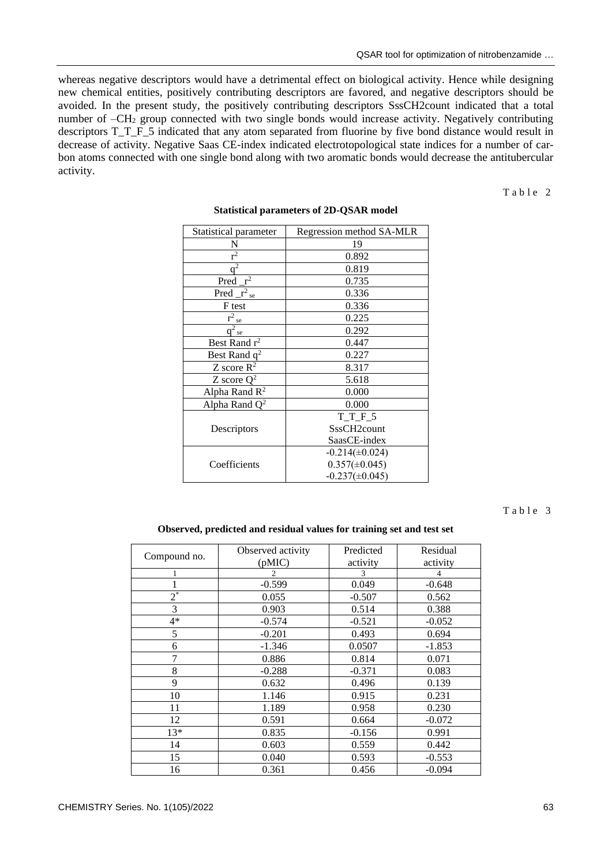whereas negative descriptors would have a detrimental effect on biological activity. Hence while designing new chemical entities, positively contributing descriptors are favored, and negative descriptors should be avoided. In the present study, the positively contributing descriptors SssCH2count indicated that a total number of  $-CH<sub>2</sub>$  group connected with two single bonds would increase activity. Negatively contributing descriptors T\_T\_F\_5 indicated that any atom separated from fluorine by five bond distance would result in decrease of activity. Negative Saas CE-index indicated electrotopological state indices for a number of carbon atoms connected with one single bond along with two aromatic bonds would decrease the antitubercular activity.

Table 2

| Statistical parameter          | Regression method SA-MLR |  |
|--------------------------------|--------------------------|--|
| N                              | 19                       |  |
| $\overline{r^2}$               | 0.892                    |  |
| $q^2$                          | 0.819                    |  |
| $r^2$<br>Pred                  | 0.735                    |  |
| $\overline{\text{Pred}}_{r^2}$ | 0.336                    |  |
| F test                         | 0.336                    |  |
| $r^2_{\phantom{2}se}$          | 0.225                    |  |
| $q^2$<br>se                    | 0.292                    |  |
| Best Rand $r^2$                | 0.447                    |  |
| Best Rand q <sup>2</sup>       | 0.227                    |  |
| Z score $R^2$                  | 8.317                    |  |
| Z score $Q^2$                  | 5.618                    |  |
| Alpha Rand $R^2$<br>0.000      |                          |  |
| Alpha Rand $Q^2$               | 0.000                    |  |
|                                | TTF5                     |  |
| Descriptors                    | SssCH2count              |  |
|                                | SaasCE-index             |  |
|                                | $-0.214(\pm 0.024)$      |  |
| Coefficients                   | $0.357(\pm 0.045)$       |  |
|                                | $-0.237(\pm 0.045)$      |  |

### **Statistical parameters of 2D-QSAR model**

Table 3

## **Observed, predicted and residual values for training set and test set**

| Compound no. | Observed activity | Predicted | Residual |
|--------------|-------------------|-----------|----------|
|              | (pMIC)            | activity  | activity |
|              | 2                 | 3         | 4        |
|              | $-0.599$          | 0.049     | $-0.648$ |
| $2^*$        | 0.055             | $-0.507$  | 0.562    |
| 3            | 0.903             | 0.514     | 0.388    |
| $4*$         | $-0.574$          | $-0.521$  | $-0.052$ |
| 5            | $-0.201$          | 0.493     | 0.694    |
| 6            | $-1.346$          | 0.0507    | $-1.853$ |
| 7            | 0.886             | 0.814     | 0.071    |
| 8            | $-0.288$          | $-0.371$  | 0.083    |
| 9            | 0.632             | 0.496     | 0.139    |
| 10           | 1.146             | 0.915     | 0.231    |
| 11           | 1.189             | 0.958     | 0.230    |
| 12           | 0.591             | 0.664     | $-0.072$ |
| $13*$        | 0.835             | $-0.156$  | 0.991    |
| 14           | 0.603             | 0.559     | 0.442    |
| 15           | 0.040             | 0.593     | $-0.553$ |
| 16           | 0.361             | 0.456     | $-0.094$ |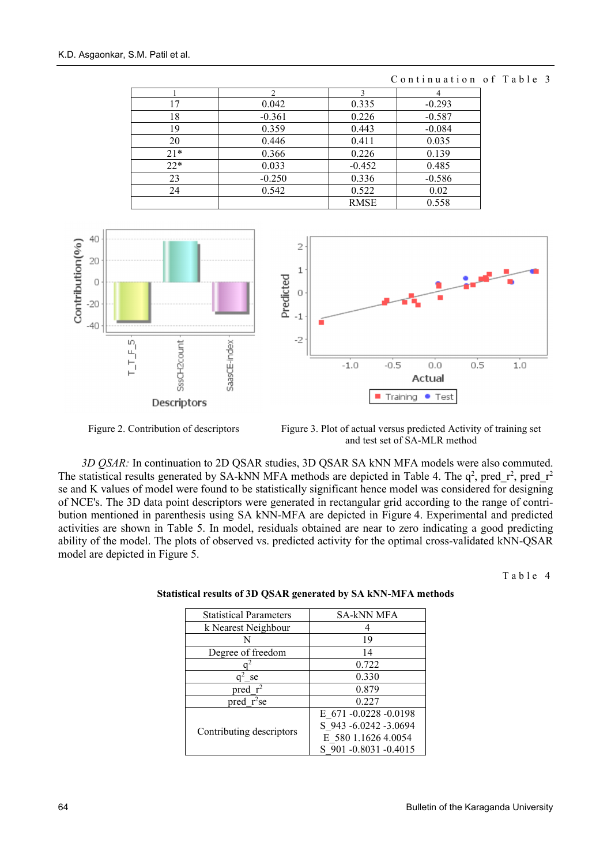|       | $\mathcal{D}$ |             |          |
|-------|---------------|-------------|----------|
| 17    | 0.042         | 0.335       | $-0.293$ |
| 18    | $-0.361$      | 0.226       | $-0.587$ |
| 19    | 0.359         | 0.443       | $-0.084$ |
| 20    | 0.446         | 0.411       | 0.035    |
| $21*$ | 0.366         | 0.226       | 0.139    |
| $22*$ | 0.033         | $-0.452$    | 0.485    |
| 23    | $-0.250$      | 0.336       | $-0.586$ |
| 24    | 0.542         | 0.522       | 0.02     |
|       |               | <b>RMSE</b> | 0.558    |

Continuation of Table 3



Figure 2. Contribution of descriptors Figure 3. Plot of actual versus predicted Activity of training set and test set of SA-MLR method

*3D QSAR:* In continuation to 2D QSAR studies, 3D QSAR SA kNN MFA models were also commuted. The statistical results generated by SA-kNN MFA methods are depicted in Table 4. The  $q^2$ , pred\_r<sup>2</sup>, pred\_r<sup>2</sup> se and K values of model were found to be statistically significant hence model was considered for designing of NCE's. The 3D data point descriptors were generated in rectangular grid according to the range of contribution mentioned in parenthesis using SA kNN-MFA are depicted in Figure 4. Experimental and predicted activities are shown in Table 5. In model, residuals obtained are near to zero indicating a good predicting ability of the model. The plots of observed vs. predicted activity for the optimal cross-validated kNN-QSAR model are depicted in Figure 5.

Table 4

| <b>Statistical Parameters</b> | <b>SA-kNN MFA</b>   |  |
|-------------------------------|---------------------|--|
| k Nearest Neighbour           |                     |  |
| N                             | 19                  |  |
| Degree of freedom             | 14                  |  |
|                               | 0.722               |  |
| se                            | 0.330               |  |
| pred $r^2$                    | 0.879               |  |
| pred $r^2$ se                 | 0.227               |  |
|                               | E 671-0.0228-0.0198 |  |
| Contributing descriptors      | S 943-6.0242-3.0694 |  |
|                               | E 580 1.1626 4.0054 |  |
|                               | S 901-0.8031-0.4015 |  |

## **Statistical results of 3D QSAR generated by SA kNN-MFA methods**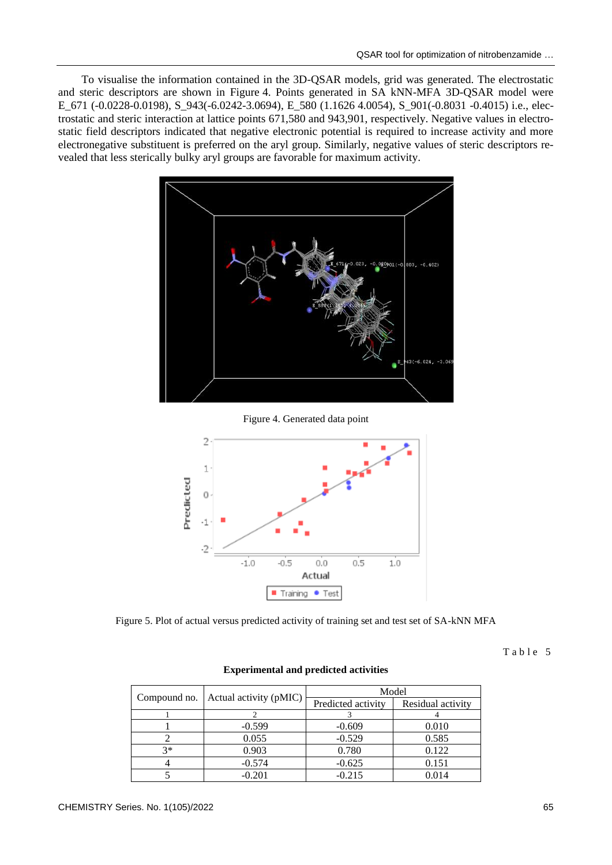To visualise the information contained in the 3D-QSAR models, grid was generated. The electrostatic and steric descriptors are shown in Figure 4. Points generated in SA kNN-MFA 3D-QSAR model were E\_671 (-0.0228-0.0198), S\_943(-6.0242-3.0694), E\_580 (1.1626 4.0054), S\_901(-0.8031 -0.4015) i.e., electrostatic and steric interaction at lattice points 671,580 and 943,901, respectively. Negative values in electrostatic field descriptors indicated that negative electronic potential is required to increase activity and more electronegative substituent is preferred on the aryl group. Similarly, negative values of steric descriptors revealed that less sterically bulky aryl groups are favorable for maximum activity.



Figure 4. Generated data point



Figure 5. Plot of actual versus predicted activity of training set and test set of SA-kNN MFA

Table 5

| Compound no. | Actual activity (pMIC) | Model              |                   |  |
|--------------|------------------------|--------------------|-------------------|--|
|              |                        | Predicted activity | Residual activity |  |
|              |                        |                    |                   |  |
|              | $-0.599$               | $-0.609$           | 0.010             |  |
|              | 0.055                  | $-0.529$           | 0.585             |  |
| $3*$         | 0.903                  | 0.780              | 0.122             |  |
|              | $-0.574$               | $-0.625$           | 0.151             |  |
|              | $-0.201$               | $-0.215$           | 0.014             |  |

### **Experimental and predicted activities**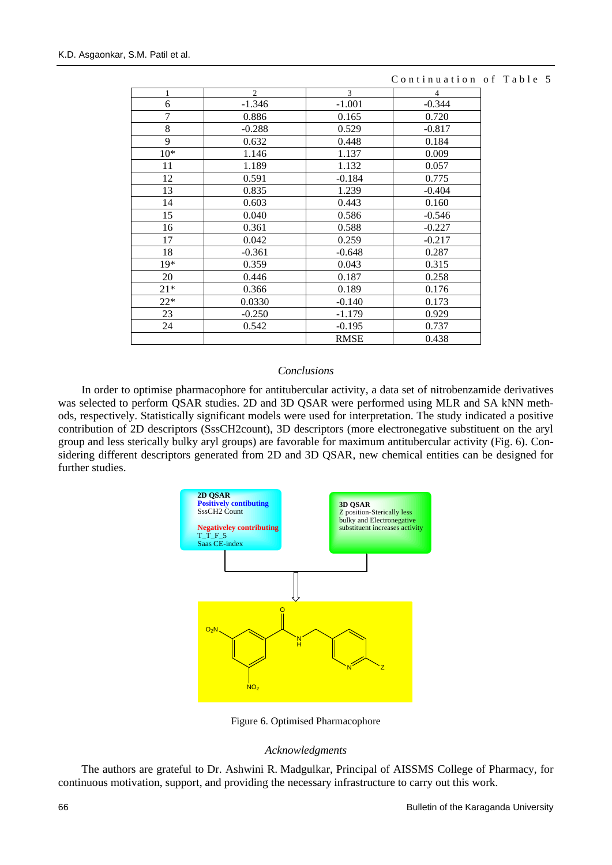| 1              | $\mathbf{2}$ | 3           | $\overline{4}$ |
|----------------|--------------|-------------|----------------|
| 6              | $-1.346$     | $-1.001$    | $-0.344$       |
| $\overline{7}$ | 0.886        | 0.165       | 0.720          |
| 8              | $-0.288$     | 0.529       | $-0.817$       |
| 9              | 0.632        | 0.448       | 0.184          |
| $10*$          | 1.146        | 1.137       | 0.009          |
| 11             | 1.189        | 1.132       | 0.057          |
| 12             | 0.591        | $-0.184$    | 0.775          |
| 13             | 0.835        | 1.239       | $-0.404$       |
| 14             | 0.603        | 0.443       | 0.160          |
| 15             | 0.040        | 0.586       | $-0.546$       |
| 16             | 0.361        | 0.588       | $-0.227$       |
| 17             | 0.042        | 0.259       | $-0.217$       |
| 18             | $-0.361$     | $-0.648$    | 0.287          |
| $19*$          | 0.359        | 0.043       | 0.315          |
| 20             | 0.446        | 0.187       | 0.258          |
| $21*$          | 0.366        | 0.189       | 0.176          |
| $22*$          | 0.0330       | $-0.140$    | 0.173          |
| 23             | $-0.250$     | $-1.179$    | 0.929          |
| 24             | 0.542        | $-0.195$    | 0.737          |
|                |              | <b>RMSE</b> | 0.438          |

## Continuation of Table 5

## *Conclusions*

In order to optimise pharmacophore for antitubercular activity, a data set of nitrobenzamide derivatives was selected to perform QSAR studies. 2D and 3D QSAR were performed using MLR and SA kNN methods, respectively. Statistically significant models were used for interpretation. The study indicated a positive contribution of 2D descriptors (SssCH2count), 3D descriptors (more electronegative substituent on the aryl group and less sterically bulky aryl groups) are favorable for maximum antitubercular activity (Fig. 6). Considering different descriptors generated from 2D and 3D QSAR, new chemical entities can be designed for further studies.



Figure 6. Optimised Pharmacophore

## *Acknowledgments*

The authors are grateful to Dr. Ashwini R. Madgulkar, Principal of AISSMS College of Pharmacy, for continuous motivation, support, and providing the necessary infrastructure to carry out this work.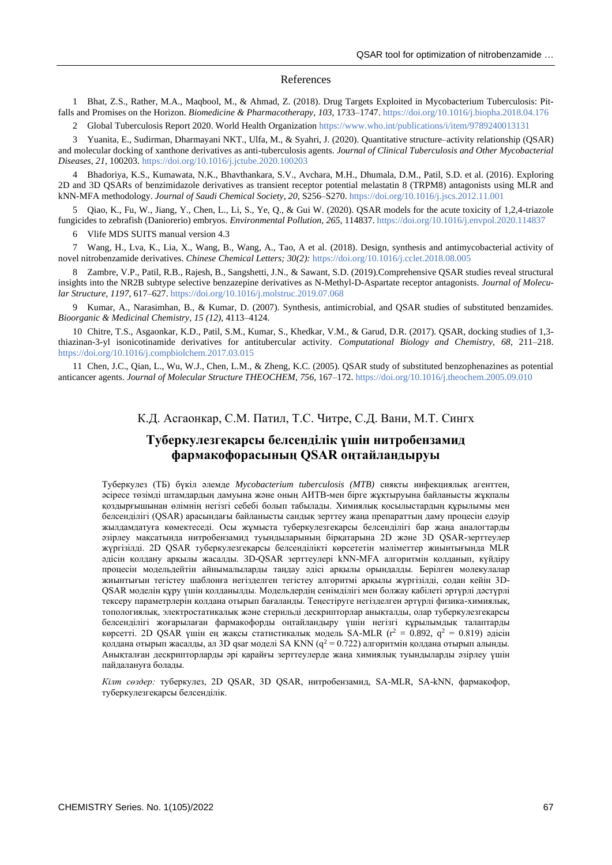#### References

1 Bhat, Z.S., Rather, M.A., Maqbool, M., & Ahmad, Z. (2018). Drug Targets Exploited in Mycobacterium Tuberculosis: Pitfalls and Promises on the Horizon. *Biomedicine & Pharmacotherapy*, *103*, 1733–1747[. https://doi.org/10.1016/j.biopha.2018.04.176](https://doi.org/10.1016/j.biopha.2018.04.176)

Global Tuberculosis Report 2020. World Health Organizatio[n https://www.who.int/publications/i/item/9789240013131](https://www.who.int/publications/i/item/9789240013131)

3 Yuanita, E., Sudirman, Dharmayani NKT., Ulfa, M., & Syahri, J. (2020). Quantitative structure–activity relationship (QSAR) and molecular docking of xanthone derivatives as anti-tuberculosis agents. *Journal of Clinical Tuberculosis and Other Mycobacterial Diseases*, *21*, 100203.<https://doi.org/10.1016/j.jctube.2020.100203>

4 Bhadoriya, K.S., Kumawata, N.K., Bhavthankara, S.V., Avchara, M.H., Dhumala, D.M., Patil, S.D. et al. (2016). Exploring 2D and 3D QSARs of benzimidazole derivatives as transient receptor potential melastatin 8 (TRPM8) antagonists using MLR and kNN-MFA methodology. *Journal of Saudi Chemical Society*, *20*, S256–S270. <https://doi.org/10.1016/j.jscs.2012.11.001>

5 Qiao, K., Fu, W., Jiang, Y., Chen, L., Li, S., Ye, Q., & Gui W. (2020). QSAR models for the acute toxicity of 1,2,4-triazole fungicides to zebrafish (Daniorerio) embryos. *Environmental Pollution*, *265*, 114837. <https://doi.org/10.1016/j.envpol.2020.114837>

6 Vlife MDS SUITS manual version 4.3

7 Wang, H., Lva, K., Lia, X., Wang, B., Wang, A., Tao, A et al. (2018). Design, synthesis and antimycobacterial activity of novel nitrobenzamide derivatives. *Chinese Chemical Letters; 30(2):* <https://doi.org/10.1016/j.cclet.2018.08.005>

8 Zambre, V.P., Patil, R.B., Rajesh, B., Sangshetti, J.N., & Sawant, S.D. (2019).Comprehensive QSAR studies reveal structural insights into the NR2B subtype selective benzazepine derivatives as N-Methyl-D-Aspartate receptor antagonists. *Journal of Molecular Structure, 1197*, 617–627.<https://doi.org/10.1016/j.molstruc.2019.07.068>

9 Kumar, A., Narasimhan, B., & Kumar, D. (2007). Synthesis, antimicrobial, and QSAR studies of substituted benzamides. *Bioorganic & Medicinal Chemistry*, *15 (12)*, 4113–4124.

10 Chitre, T.S., Asgaonkar, K.D., Patil, S.M., Kumar, S., Khedkar, V.M., & Garud, D.R. (2017). QSAR, docking studies of 1,3 thiazinan-3-yl isonicotinamide derivatives for antitubercular activity. *Computational Biology and Chemistry, 68,* 211–218. <https://doi.org/10.1016/j.compbiolchem.2017.03.015>

11 Chen, J.C., Qian, L., Wu, W.J., Chen, L.M., & Zheng, K.C. (2005). QSAR study of substituted benzophenazines as potential anticancer agents. *Journal of Molecular Structure THEOCHEM*, *756*, 167–172.<https://doi.org/10.1016/j.theochem.2005.09.010>

## К.Д. Асгаонкар, С.М. Патил, Т.С. Читре, С.Д. Вани, М.Т. Сингх

## **Туберкулезгеқарсы белсенділік үшін нитробензамид фармакофорасының QSAR оңтайландыруы**

Туберкулез (ТБ) бүкіл әлемде *Mycobacterium tuberculosis (MTB)* сияқты инфекциялық агенттен, әсіресе төзімді штамдардың дамуына және оның АИТВ-мен бірге жұқтыруына байланысты жұқпалы қоздырғышынан өлімнің негізгі себебі болып табылады. Химиялық қосылыстардың құрылымы мен белсенділігі (QSAR) арасындағы байланысты сандық зерттеу жаңа препараттың даму процесін едәуір жылдамдатуға көмектеседі. Осы жұмыста туберкулезгеқарсы белсенділігі бар жаңа аналогтарды әзірлеу мақсатында нитробензамид туындыларының бірқатарына 2D және 3D QSAR-зерттеулер жүргізілді. 2D QSAR туберкулезгеқарсы белсенділікті көрсететін мәліметтер жиынтығында MLR әдісін қолдану арқылы жасалды. 3D-QSAR зерттеулері kNN-MFA алгоритмін қолданып, күйдіру процесін модельдейтін айнымалыларды таңдау әдісі арқылы орындалды. Берілген молекулалар жиынтығын тегістеу шаблонға негізделген тегістеу алгоритмі арқылы жүргізілді, содан кейін 3D-QSAR моделін құру үшін қолданылды. Модельдердің сенімділігі мен болжау қабілеті әртүрлі дәстүрлі тексеру параметрлерін қолдана отырып бағаланды. Теңестіруге негізделген әртүрлі физика-химиялық, топологиялық, электростатикалық және стерильді дескрипторлар анықталды, олар туберкулезгеқарсы белсенділігі жоғарылаған фармакофорды оңтайландыру үшін негізгі құрылымдық талаптарды көрсетті. 2D QSAR үшін ең жақсы статистикалық модель SA-MLR ( $r^2 = 0.892$ ,  $q^2 = 0.819$ ) әдісін қолдана отырып жасалды, ал 3D qsar моделі SA KNN ( $q^2 = 0.722$ ) алгоритмін қолдана отырып алынды. Анықталған дескрипторларды әрі қарайғы зерттеулерде жаңа химиялық туындыларды әзірлеу үшін пайдалануға болады.

*Кілт сөздер:* туберкулез, 2D QSAR, 3D QSAR, нитробензамид, SA-MLR, SA-kNN, фармакофор, туберкулезгеқарсы белсенділік.